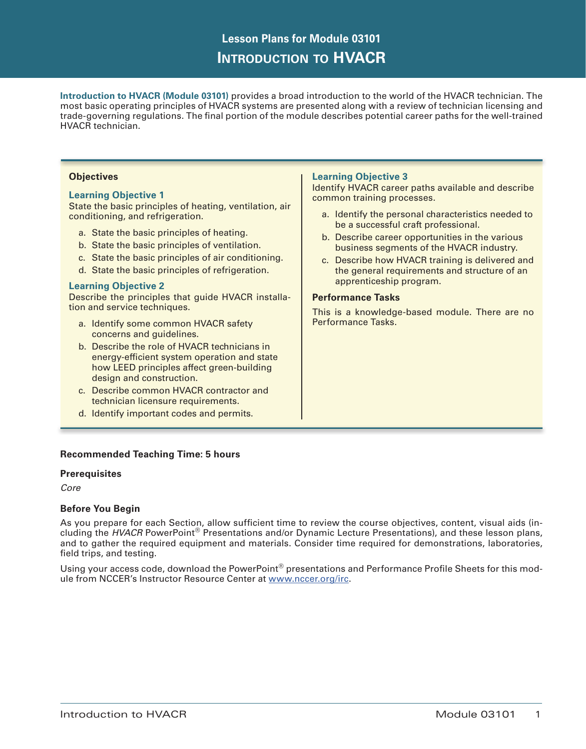# **Lesson Plans for Module 03101 Introduction to HVACR**

**Introduction to HVACR (Module 03101)** provides a broad introduction to the world of the HVACR technician. The most basic operating principles of HVACR systems are presented along with a review of technician licensing and trade-governing regulations. The final portion of the module describes potential career paths for the well-trained HVACR technician.

## **Objectives**

#### **Learning Objective 1**

State the basic principles of heating, ventilation, air conditioning, and refrigeration.

- a. State the basic principles of heating.
- b. State the basic principles of ventilation.
- c. State the basic principles of air conditioning.
- d. State the basic principles of refrigeration.

#### **Learning Objective 2**

Describe the principles that guide HVACR installation and service techniques.

- a. Identify some common HVACR safety concerns and guidelines.
- b. Describe the role of HVACR technicians in energy-efficient system operation and state how LEED principles affect green-building design and construction.
- c. Describe common HVACR contractor and technician licensure requirements.
- d. Identify important codes and permits.

# **Learning Objective 3**

Identify HVACR career paths available and describe common training processes.

- a. Identify the personal characteristics needed to be a successful craft professional.
- b. Describe career opportunities in the various business segments of the HVACR industry.
- c. Describe how HVACR training is delivered and the general requirements and structure of an apprenticeship program.

#### **Performance Tasks**

This is a knowledge-based module. There are no Performance Tasks.

## **Recommended Teaching Time: 5 hours**

#### **Prerequisites**

*Core*

## **Before You Begin**

As you prepare for each Section, allow sufficient time to review the course objectives, content, visual aids (including the *HVACR* PowerPoint® Presentations and/or Dynamic Lecture Presentations), and these lesson plans, and to gather the required equipment and materials. Consider time required for demonstrations, laboratories, field trips, and testing.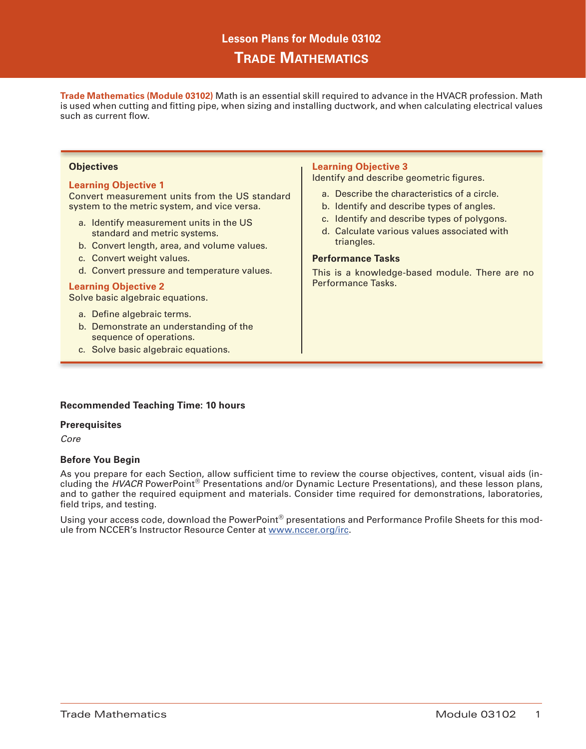# **Lesson Plans for Module 03102 Trade Mathematics**

**Trade Mathematics (Module 03102)** Math is an essential skill required to advance in the HVACR profession. Math is used when cutting and fitting pipe, when sizing and installing ductwork, and when calculating electrical values such as current flow.

#### **Objectives**

#### **Learning Objective 1**

Convert measurement units from the US standard system to the metric system, and vice versa.

- a. Identify measurement units in the US standard and metric systems.
- b. Convert length, area, and volume values.
- c. Convert weight values.
- d. Convert pressure and temperature values.

#### **Learning Objective 2**

Solve basic algebraic equations.

- a. Define algebraic terms.
- b. Demonstrate an understanding of the sequence of operations.
- c. Solve basic algebraic equations.

## **Learning Objective 3**

Identify and describe geometric figures.

- a. Describe the characteristics of a circle.
- b. Identify and describe types of angles.
- c. Identify and describe types of polygons.
- d. Calculate various values associated with triangles.

#### **Performance Tasks**

This is a knowledge-based module. There are no Performance Tasks.

## **Recommended Teaching Time: 10 hours**

## **Prerequisites**

*Core*

## **Before You Begin**

As you prepare for each Section, allow sufficient time to review the course objectives, content, visual aids (including the *HVACR* PowerPoint® Presentations and/or Dynamic Lecture Presentations), and these lesson plans, and to gather the required equipment and materials. Consider time required for demonstrations, laboratories, field trips, and testing.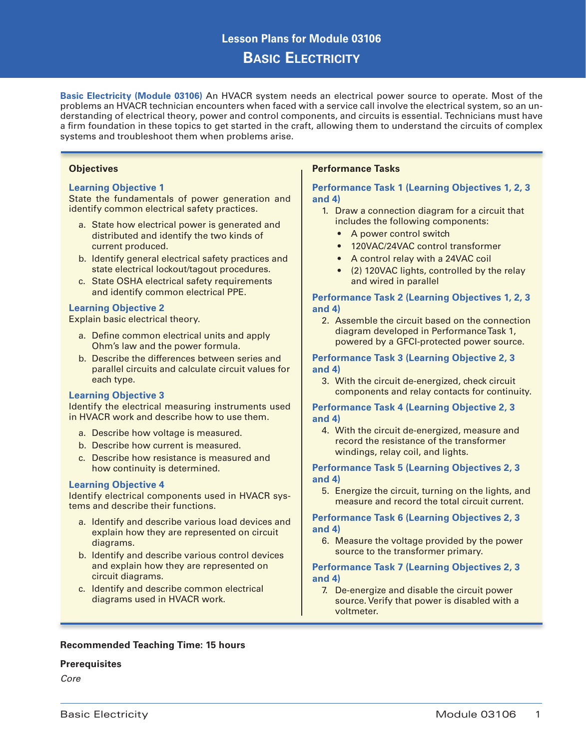# **Lesson Plans for Module 03106 Basic Electricity**

**Basic Electricity (Module 03106)** An HVACR system needs an electrical power source to operate. Most of the problems an HVACR technician encounters when faced with a service call involve the electrical system, so an understanding of electrical theory, power and control components, and circuits is essential. Technicians must have a firm foundation in these topics to get started in the craft, allowing them to understand the circuits of complex systems and troubleshoot them when problems arise.

#### **Objectives**

#### **Learning Objective 1**

State the fundamentals of power generation and identify common electrical safety practices.

- a. State how electrical power is generated and distributed and identify the two kinds of current produced.
- b. Identify general electrical safety practices and state electrical lockout/tagout procedures.
- c. State OSHA electrical safety requirements and identify common electrical PPE.

## **Learning Objective 2**

Explain basic electrical theory.

- a. Define common electrical units and apply Ohm's law and the power formula.
- b. Describe the differences between series and parallel circuits and calculate circuit values for each type.

## **Learning Objective 3**

Identify the electrical measuring instruments used in HVACR work and describe how to use them.

- a. Describe how voltage is measured.
- b. Describe how current is measured.
- c. Describe how resistance is measured and how continuity is determined.

## **Learning Objective 4**

Identify electrical components used in HVACR systems and describe their functions.

- a. Identify and describe various load devices and explain how they are represented on circuit diagrams.
- b. Identify and describe various control devices and explain how they are represented on circuit diagrams.
- c. Identify and describe common electrical diagrams used in HVACR work.

# **Performance Tasks**

## **Performance Task 1 (Learning Objectives 1, 2, 3 and 4)**

- 1. Draw a connection diagram for a circuit that includes the following components:
	- A power control switch
	- 120VAC/24VAC control transformer
	- A control relay with a 24VAC coil
	- (2) 120VAC lights, controlled by the relay and wired in parallel

## **Performance Task 2 (Learning Objectives 1, 2, 3 and 4)**

2. Assemble the circuit based on the connection diagram developed in Performance Task 1, powered by a GFCI-protected power source.

#### **Performance Task 3 (Learning Objective 2, 3 and 4)**

3. With the circuit de-energized, check circuit components and relay contacts for continuity.

## **Performance Task 4 (Learning Objective 2, 3 and 4)**

4. With the circuit de-energized, measure and record the resistance of the transformer windings, relay coil, and lights.

## **Performance Task 5 (Learning Objectives 2, 3 and 4)**

5. Energize the circuit, turning on the lights, and measure and record the total circuit current.

## **Performance Task 6 (Learning Objectives 2, 3 and 4)**

6. Measure the voltage provided by the power source to the transformer primary.

## **Performance Task 7 (Learning Objectives 2, 3 and 4)**

7. De-energize and disable the circuit power source. Verify that power is disabled with a voltmeter.

## **Recommended Teaching Time: 15 hours**

## **Prerequisites**

*Core*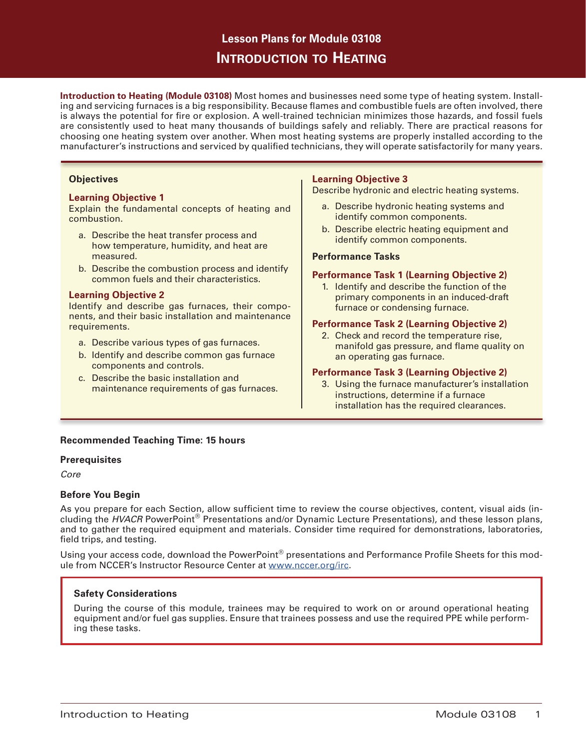# **Lesson Plans for Module 03108 Introduction to Heating**

**Introduction to Heating (Module 03108)** Most homes and businesses need some type of heating system. Installing and servicing furnaces is a big responsibility. Because flames and combustible fuels are often involved, there is always the potential for fire or explosion. A well-trained technician minimizes those hazards, and fossil fuels are consistently used to heat many thousands of buildings safely and reliably. There are practical reasons for choosing one heating system over another. When most heating systems are properly installed according to the manufacturer's instructions and serviced by qualified technicians, they will operate satisfactorily for many years.

## **Objectives**

#### **Learning Objective 1**

Explain the fundamental concepts of heating and combustion.

- a. Describe the heat transfer process and how temperature, humidity, and heat are measured.
- b. Describe the combustion process and identify common fuels and their characteristics.

#### **Learning Objective 2**

Identify and describe gas furnaces, their components, and their basic installation and maintenance requirements.

- a. Describe various types of gas furnaces.
- b. Identify and describe common gas furnace components and controls.
- c. Describe the basic installation and maintenance requirements of gas furnaces.

## **Learning Objective 3**

Describe hydronic and electric heating systems.

- a. Describe hydronic heating systems and identify common components.
- b. Describe electric heating equipment and identify common components.

#### **Performance Tasks**

#### **Performance Task 1 (Learning Objective 2)**

1. Identify and describe the function of the primary components in an induced-draft furnace or condensing furnace.

#### **Performance Task 2 (Learning Objective 2)**

2. Check and record the temperature rise, manifold gas pressure, and flame quality on an operating gas furnace.

#### **Performance Task 3 (Learning Objective 2)**

3. Using the furnace manufacturer's installation instructions, determine if a furnace installation has the required clearances.

## **Recommended Teaching Time: 15 hours**

## **Prerequisites**

*Core*

## **Before You Begin**

As you prepare for each Section, allow sufficient time to review the course objectives, content, visual aids (including the *HVACR* PowerPoint® Presentations and/or Dynamic Lecture Presentations), and these lesson plans, and to gather the required equipment and materials. Consider time required for demonstrations, laboratories, field trips, and testing.

Using your access code, download the PowerPoint® presentations and Performance Profile Sheets for this module from NCCER's Instructor Resource Center at www.nccer.org/irc.

## **Safety Considerations**

During the course of this module, trainees may be required to work on or around operational heating equipment and/or fuel gas supplies. Ensure that trainees possess and use the required PPE while performing these tasks.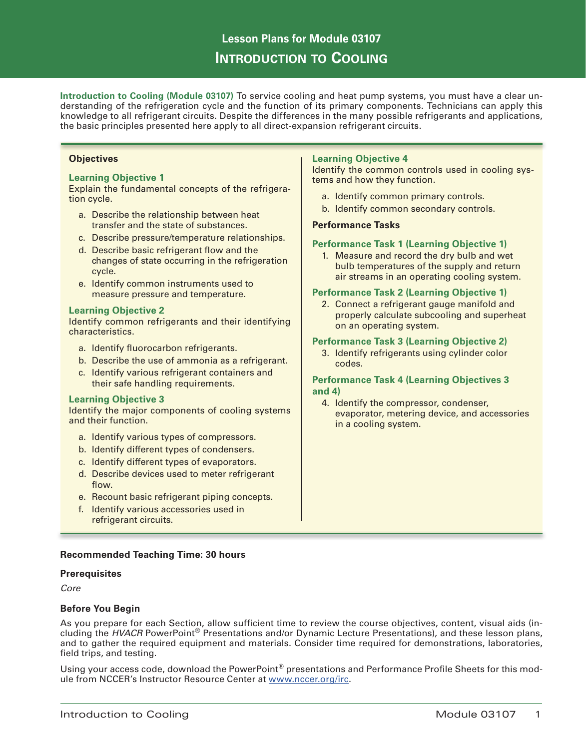# **Lesson Plans for Module 03107 Introduction to Cooling**

**Introduction to Cooling (Module 03107)** To service cooling and heat pump systems, you must have a clear understanding of the refrigeration cycle and the function of its primary components. Technicians can apply this knowledge to all refrigerant circuits. Despite the differences in the many possible refrigerants and applications, the basic principles presented here apply to all direct-expansion refrigerant circuits.

#### **Objectives**

## **Learning Objective 1**

Explain the fundamental concepts of the refrigeration cycle.

- a. Describe the relationship between heat transfer and the state of substances.
- c. Describe pressure/temperature relationships.
- d. Describe basic refrigerant flow and the changes of state occurring in the refrigeration cycle.
- e. Identify common instruments used to measure pressure and temperature.

#### **Learning Objective 2**

Identify common refrigerants and their identifying characteristics.

- a. Identify fluorocarbon refrigerants.
- b. Describe the use of ammonia as a refrigerant.
- c. Identify various refrigerant containers and their safe handling requirements.

#### **Learning Objective 3**

Identify the major components of cooling systems and their function.

- a. Identify various types of compressors.
- b. Identify different types of condensers.
- c. Identify different types of evaporators.
- d. Describe devices used to meter refrigerant flow.
- e. Recount basic refrigerant piping concepts.
- f. Identify various accessories used in refrigerant circuits.

# **Learning Objective 4**

Identify the common controls used in cooling systems and how they function.

- a. Identify common primary controls.
- b. Identify common secondary controls.

#### **Performance Tasks**

#### **Performance Task 1 (Learning Objective 1)**

1. Measure and record the dry bulb and wet bulb temperatures of the supply and return air streams in an operating cooling system.

#### **Performance Task 2 (Learning Objective 1)**

2. Connect a refrigerant gauge manifold and properly calculate subcooling and superheat on an operating system.

#### **Performance Task 3 (Learning Objective 2)**

3. Identify refrigerants using cylinder color codes.

## **Performance Task 4 (Learning Objectives 3 and 4)**

4. Identify the compressor, condenser, evaporator, metering device, and accessories in a cooling system.

## **Recommended Teaching Time: 30 hours**

## **Prerequisites**

*Core*

## **Before You Begin**

As you prepare for each Section, allow sufficient time to review the course objectives, content, visual aids (including the *HVACR* PowerPoint® Presentations and/or Dynamic Lecture Presentations), and these lesson plans, and to gather the required equipment and materials. Consider time required for demonstrations, laboratories, field trips, and testing.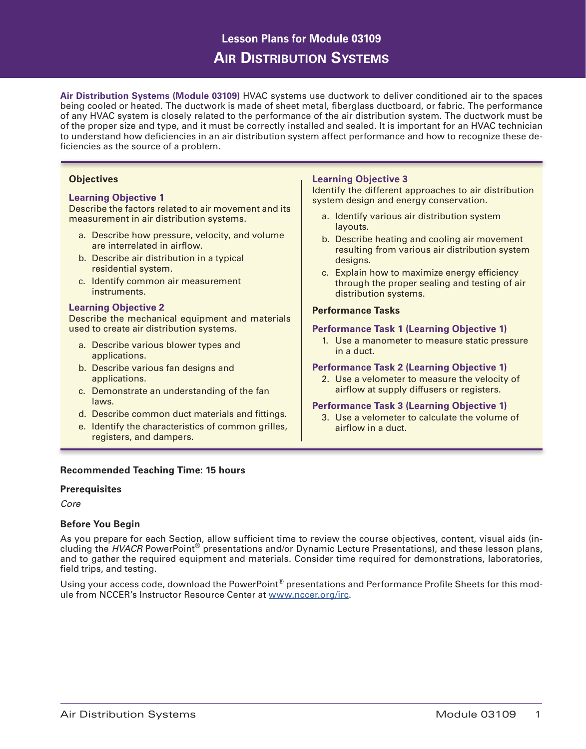# **Lesson Plans for Module 03109 Air Distribution Systems**

**Air Distribution Systems (Module 03109)** HVAC systems use ductwork to deliver conditioned air to the spaces being cooled or heated. The ductwork is made of sheet metal, fiberglass ductboard, or fabric. The performance of any HVAC system is closely related to the performance of the air distribution system. The ductwork must be of the proper size and type, and it must be correctly installed and sealed. It is important for an HVAC technician to understand how deficiencies in an air distribution system affect performance and how to recognize these deficiencies as the source of a problem.

# **Objectives**

## **Learning Objective 1**

Describe the factors related to air movement and its measurement in air distribution systems.

- a. Describe how pressure, velocity, and volume are interrelated in airflow.
- b. Describe air distribution in a typical residential system.
- c. Identify common air measurement instruments.

#### **Learning Objective 2**

Describe the mechanical equipment and materials used to create air distribution systems.

- a. Describe various blower types and applications.
- b. Describe various fan designs and applications.
- c. Demonstrate an understanding of the fan laws.
- d. Describe common duct materials and fittings.
- e. Identify the characteristics of common grilles, registers, and dampers.

## **Recommended Teaching Time: 15 hours**

## **Prerequisites**

*Core*

## **Before You Begin**

As you prepare for each Section, allow sufficient time to review the course objectives, content, visual aids (including the *HVACR* PowerPoint® presentations and/or Dynamic Lecture Presentations), and these lesson plans, and to gather the required equipment and materials. Consider time required for demonstrations, laboratories, field trips, and testing.

Using your access code, download the PowerPoint® presentations and Performance Profile Sheets for this module from NCCER's Instructor Resource Center at www.nccer.org/irc.

## **Learning Objective 3**

Identify the different approaches to air distribution system design and energy conservation.

- a. Identify various air distribution system layouts.
- b. Describe heating and cooling air movement resulting from various air distribution system designs.
- c. Explain how to maximize energy efficiency through the proper sealing and testing of air distribution systems.

#### **Performance Tasks**

#### **Performance Task 1 (Learning Objective 1)**

1. Use a manometer to measure static pressure in a duct.

#### **Performance Task 2 (Learning Objective 1)**

2. Use a velometer to measure the velocity of airflow at supply diffusers or registers.

#### **Performance Task 3 (Learning Objective 1)**

3. Use a velometer to calculate the volume of airflow in a duct.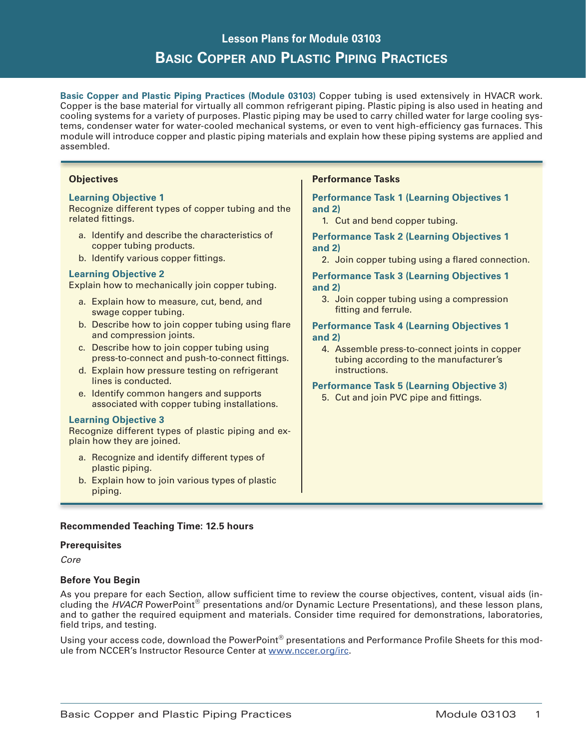# **Lesson Plans for Module 03103 Basic Copper and Plastic Piping Practices**

**Basic Copper and Plastic Piping Practices (Module 03103)** Copper tubing is used extensively in HVACR work. Copper is the base material for virtually all common refrigerant piping. Plastic piping is also used in heating and cooling systems for a variety of purposes. Plastic piping may be used to carry chilled water for large cooling systems, condenser water for water-cooled mechanical systems, or even to vent high-efficiency gas furnaces. This module will introduce copper and plastic piping materials and explain how these piping systems are applied and assembled.

## **Objectives**

## **Learning Objective 1**

Recognize different types of copper tubing and the related fittings.

- a. Identify and describe the characteristics of copper tubing products.
- b. Identify various copper fittings.

## **Learning Objective 2**

Explain how to mechanically join copper tubing.

- a. Explain how to measure, cut, bend, and swage copper tubing.
- b. Describe how to join copper tubing using flare and compression joints.
- c. Describe how to join copper tubing using press-to-connect and push-to-connect fittings.
- d. Explain how pressure testing on refrigerant lines is conducted.
- e. Identify common hangers and supports associated with copper tubing installations.

## **Learning Objective 3**

Recognize different types of plastic piping and explain how they are joined.

- a. Recognize and identify different types of plastic piping.
- b. Explain how to join various types of plastic piping.

## **Performance Tasks**

## **Performance Task 1 (Learning Objectives 1 and 2)**

1. Cut and bend copper tubing.

#### **Performance Task 2 (Learning Objectives 1 and 2)**

2. Join copper tubing using a flared connection.

## **Performance Task 3 (Learning Objectives 1 and 2)**

3. Join copper tubing using a compression fitting and ferrule.

#### **Performance Task 4 (Learning Objectives 1 and 2)**

4. Assemble press-to-connect joints in copper tubing according to the manufacturer's instructions.

## **Performance Task 5 (Learning Objective 3)**

5. Cut and join PVC pipe and fittings.

# **Recommended Teaching Time: 12.5 hours**

#### **Prerequisites**

*Core*

## **Before You Begin**

As you prepare for each Section, allow sufficient time to review the course objectives, content, visual aids (including the *HVACR* PowerPoint® presentations and/or Dynamic Lecture Presentations), and these lesson plans, and to gather the required equipment and materials. Consider time required for demonstrations, laboratories, field trips, and testing.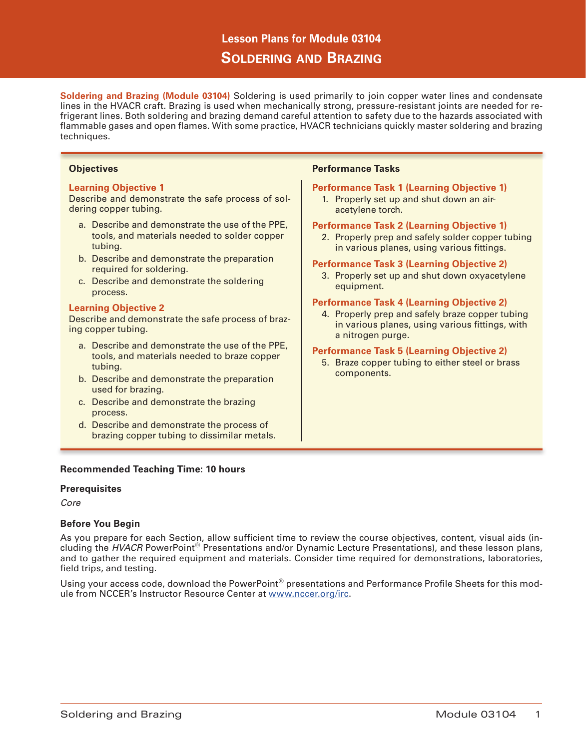# **Lesson Plans for Module 03104 Soldering and Brazing**

**Soldering and Brazing (Module 03104)** Soldering is used primarily to join copper water lines and condensate lines in the HVACR craft. Brazing is used when mechanically strong, pressure-resistant joints are needed for refrigerant lines. Both soldering and brazing demand careful attention to safety due to the hazards associated with flammable gases and open flames. With some practice, HVACR technicians quickly master soldering and brazing techniques.

#### **Objectives**

#### **Learning Objective 1**

Describe and demonstrate the safe process of soldering copper tubing.

- a. Describe and demonstrate the use of the PPE, tools, and materials needed to solder copper tubing.
- b. Describe and demonstrate the preparation required for soldering.
- c. Describe and demonstrate the soldering process.

#### **Learning Objective 2**

Describe and demonstrate the safe process of brazing copper tubing.

- a. Describe and demonstrate the use of the PPE, tools, and materials needed to braze copper tubing.
- b. Describe and demonstrate the preparation used for brazing.
- c. Describe and demonstrate the brazing process.
- d. Describe and demonstrate the process of brazing copper tubing to dissimilar metals.

## **Recommended Teaching Time: 10 hours**

## **Prerequisites**

*Core*

## **Before You Begin**

As you prepare for each Section, allow sufficient time to review the course objectives, content, visual aids (including the *HVACR* PowerPoint® Presentations and/or Dynamic Lecture Presentations), and these lesson plans, and to gather the required equipment and materials. Consider time required for demonstrations, laboratories, field trips, and testing.

Using your access code, download the PowerPoint® presentations and Performance Profile Sheets for this module from NCCER's Instructor Resource Center at www.nccer.org/irc.

# **Performance Tasks**

# **Performance Task 1 (Learning Objective 1)**

1. Properly set up and shut down an airacetylene torch.

#### **Performance Task 2 (Learning Objective 1)**

2. Properly prep and safely solder copper tubing in various planes, using various fittings.

#### **Performance Task 3 (Learning Objective 2)**

3. Properly set up and shut down oxyacetylene equipment.

#### **Performance Task 4 (Learning Objective 2)**

4. Properly prep and safely braze copper tubing in various planes, using various fittings, with a nitrogen purge.

#### **Performance Task 5 (Learning Objective 2)**

5. Braze copper tubing to either steel or brass components.